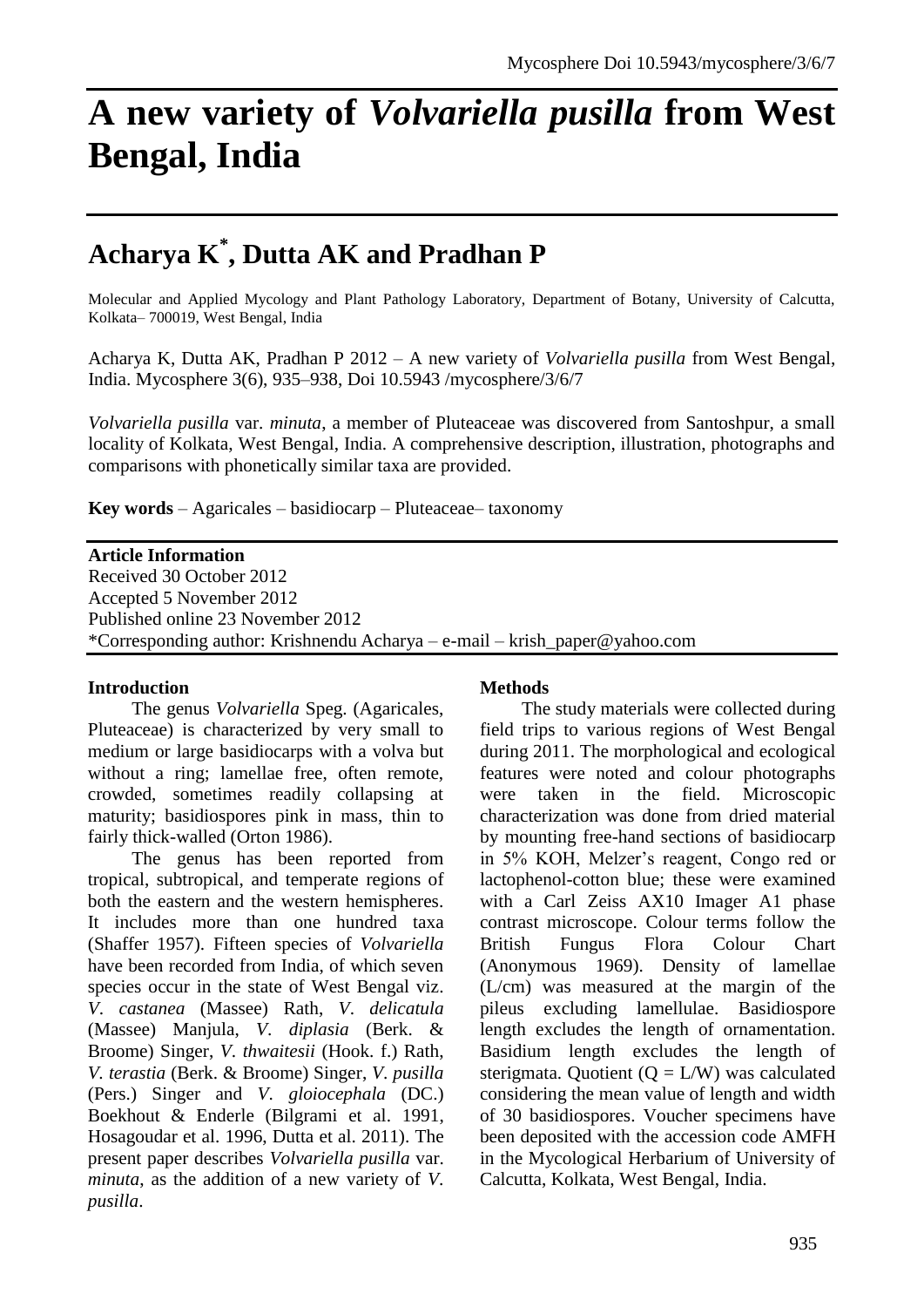# **A new variety of** *Volvariella pusilla* **from West Bengal, India**

# **Acharya K\* , Dutta AK and Pradhan P**

Molecular and Applied Mycology and Plant Pathology Laboratory, Department of Botany, University of Calcutta, Kolkata– 700019, West Bengal, India

Acharya K, Dutta AK, Pradhan P 2012 – A new variety of *Volvariella pusilla* from West Bengal, India. Mycosphere 3(6), 935–938, Doi 10.5943 /mycosphere/3/6/7

*Volvariella pusilla* var. *minuta*, a member of Pluteaceae was discovered from Santoshpur, a small locality of Kolkata, West Bengal, India. A comprehensive description, illustration, photographs and comparisons with phonetically similar taxa are provided.

**Key words** – Agaricales – basidiocarp – Pluteaceae– taxonomy

#### **Article Information**

Received 30 October 2012 Accepted 5 November 2012 Published online 23 November 2012 \*Corresponding author: Krishnendu Acharya – e-mail – krish\_paper@yahoo.com

#### **Introduction**

The genus *Volvariella* Speg. (Agaricales, Pluteaceae) is characterized by very small to medium or large basidiocarps with a volva but without a ring; lamellae free, often remote, crowded, sometimes readily collapsing at maturity; basidiospores pink in mass, thin to fairly thick-walled (Orton 1986).

The genus has been reported from tropical, subtropical, and temperate regions of both the eastern and the western hemispheres. It includes more than one hundred taxa (Shaffer 1957). Fifteen species of *Volvariella* have been recorded from India, of which seven species occur in the state of West Bengal viz. *V*. *castanea* (Massee) Rath, *V*. *delicatula* (Massee) Manjula, *V*. *diplasia* (Berk. & Broome) Singer, *V*. *thwaitesii* (Hook. f.) Rath, *V. terastia* (Berk. & Broome) Singer, *V*. *pusilla* (Pers.) Singer and *V*. *gloiocephala* (DC.) Boekhout & Enderle (Bilgrami et al. 1991, Hosagoudar et al. 1996, Dutta et al. 2011). The present paper describes *Volvariella pusilla* var. *minuta*, as the addition of a new variety of *V*. *pusilla*.

#### **Methods**

The study materials were collected during field trips to various regions of West Bengal during 2011. The morphological and ecological features were noted and colour photographs were taken in the field. Microscopic characterization was done from dried material by mounting free-hand sections of basidiocarp in 5% KOH, Melzer's reagent, Congo red or lactophenol-cotton blue; these were examined with a Carl Zeiss AX10 Imager A1 phase contrast microscope. Colour terms follow the British Fungus Flora Colour Chart (Anonymous 1969). Density of lamellae (L/cm) was measured at the margin of the pileus excluding lamellulae. Basidiospore length excludes the length of ornamentation. Basidium length excludes the length of sterigmata. Quotient  $(Q = L/W)$  was calculated considering the mean value of length and width of 30 basidiospores. Voucher specimens have been deposited with the accession code AMFH in the Mycological Herbarium of University of Calcutta, Kolkata, West Bengal, India.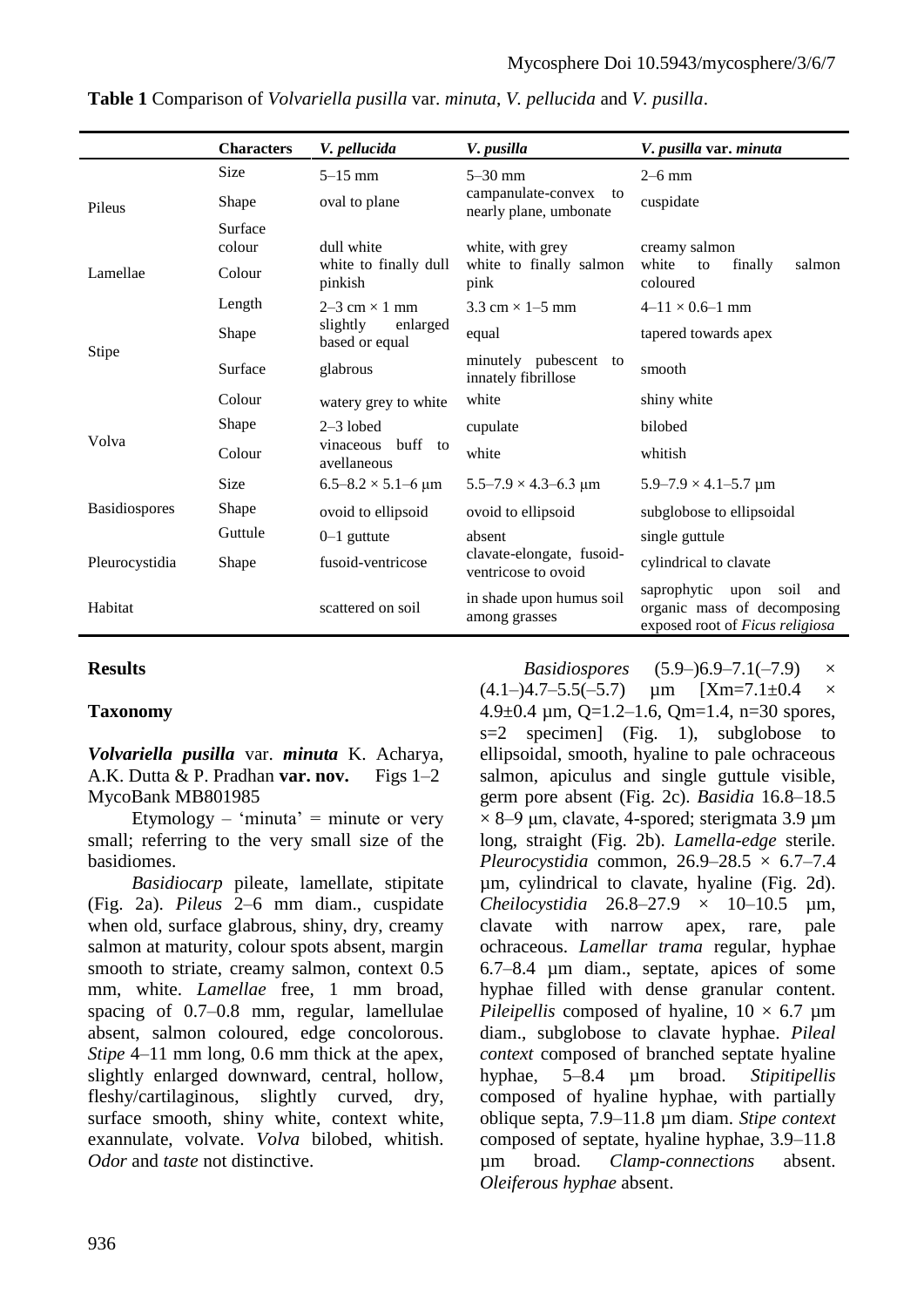|                      | <b>Characters</b> | V. pellucida                           | V. pusilla                                         | V. pusilla var. minuta                                                                               |
|----------------------|-------------------|----------------------------------------|----------------------------------------------------|------------------------------------------------------------------------------------------------------|
| Pileus<br>Lamellae   | <b>Size</b>       | $5 - 15$ mm                            | $5 - 30$ mm                                        | $2-6$ mm                                                                                             |
|                      | Shape             | oval to plane                          | campanulate-convex<br>to<br>nearly plane, umbonate | cuspidate                                                                                            |
|                      | Surface<br>colour | dull white<br>white to finally dull    | white, with grey<br>white to finally salmon        | creamy salmon<br>white<br>salmon<br>finally<br>to                                                    |
|                      | Colour            | pinkish                                | pink                                               | coloured                                                                                             |
| <b>Stipe</b>         | Length            | $2-3$ cm $\times$ 1 mm                 | $3.3$ cm $\times$ 1–5 mm                           | $4-11 \times 0.6-1$ mm                                                                               |
|                      | Shape             | slightly<br>enlarged<br>based or equal | equal                                              | tapered towards apex                                                                                 |
|                      | Surface           | glabrous                               | minutely pubescent to<br>innately fibrillose       | smooth                                                                                               |
| Volva                | Colour            | watery grey to white                   | white                                              | shiny white                                                                                          |
|                      | Shape             | $2-3$ lobed                            | cupulate                                           | bilobed                                                                                              |
|                      | Colour            | vinaceous buff to<br>avellaneous       | white                                              | whitish                                                                                              |
|                      | Size              | $6.5 - 8.2 \times 5.1 - 6 \mu m$       | $5.5 - 7.9 \times 4.3 - 6.3 \mu m$                 | $5.9 - 7.9 \times 4.1 - 5.7 \mu m$                                                                   |
| <b>Basidiospores</b> | Shape             | ovoid to ellipsoid                     | ovoid to ellipsoid                                 | subglobose to ellipsoidal                                                                            |
|                      | Guttule           | $0-1$ guttute                          | absent                                             | single guttule                                                                                       |
| Pleurocystidia       | Shape             | fusoid-ventricose                      | clavate-elongate, fusoid-<br>ventricose to ovoid   | cylindrical to clavate                                                                               |
| Habitat              |                   | scattered on soil                      | in shade upon humus soil<br>among grasses          | saprophytic<br>soil<br>upon<br>and<br>organic mass of decomposing<br>exposed root of Ficus religiosa |

**Table 1** Comparison of *Volvariella pusilla* var. *minuta*, *V. pellucida* and *V. pusilla*.

# **Results**

### **Taxonomy**

*Volvariella pusilla* var. *minuta* K. Acharya, A.K. Dutta & P. Pradhan **var. nov.** Figs 1–2 MycoBank MB801985

Etymology – 'minuta' = minute or very small; referring to the very small size of the basidiomes.

*Basidiocarp* pileate, lamellate, stipitate (Fig. 2a). *Pileus* 2–6 mm diam., cuspidate when old, surface glabrous, shiny, dry, creamy salmon at maturity, colour spots absent, margin smooth to striate, creamy salmon, context 0.5 mm, white. *Lamellae* free, 1 mm broad, spacing of 0.7–0.8 mm, regular, lamellulae absent, salmon coloured, edge concolorous. *Stipe* 4–11 mm long, 0.6 mm thick at the apex, slightly enlarged downward, central, hollow, fleshy/cartilaginous, slightly curved, dry, surface smooth, shiny white, context white, exannulate, volvate. *Volva* bilobed, whitish. *Odor* and *taste* not distinctive.

*Basidiospores* (5.9–)6.9–7.1(–7.9)  $\times$  $(4.1-)4.7-5.5(-5.7)$  um  $[Xm=7.1\pm0.4$  × 4.9 $\pm$ 0.4 µm, Q=1.2–1.6, Qm=1.4, n=30 spores,  $s=2$  specimen] (Fig. 1), subglobose to ellipsoidal, smooth, hyaline to pale ochraceous salmon, apiculus and single guttule visible, germ pore absent (Fig. 2c). *Basidia* 16.8–18.5  $\times$  8–9 µm, clavate, 4-spored; sterigmata 3.9 µm long, straight (Fig. 2b). *Lamella*-*edge* sterile. *Pleurocystidia* common,  $26.9-28.5 \times 6.7-7.4$ µm, cylindrical to clavate, hyaline (Fig. 2d). *Cheilocystidia* 26.8–27.9 × 10–10.5 µm, clavate with narrow apex, rare, pale ochraceous. *Lamellar trama* regular, hyphae 6.7–8.4 µm diam., septate, apices of some hyphae filled with dense granular content. *Pileipellis* composed of hyaline,  $10 \times 6.7 \mu m$ diam., subglobose to clavate hyphae. *Pileal context* composed of branched septate hyaline hyphae, 5–8.4 µm broad. *Stipitipellis* composed of hyaline hyphae, with partially oblique septa, 7.9–11.8 µm diam. *Stipe context* composed of septate, hyaline hyphae, 3.9–11.8 µm broad. *Clamp-connections* absent. *Oleiferous hyphae* absent.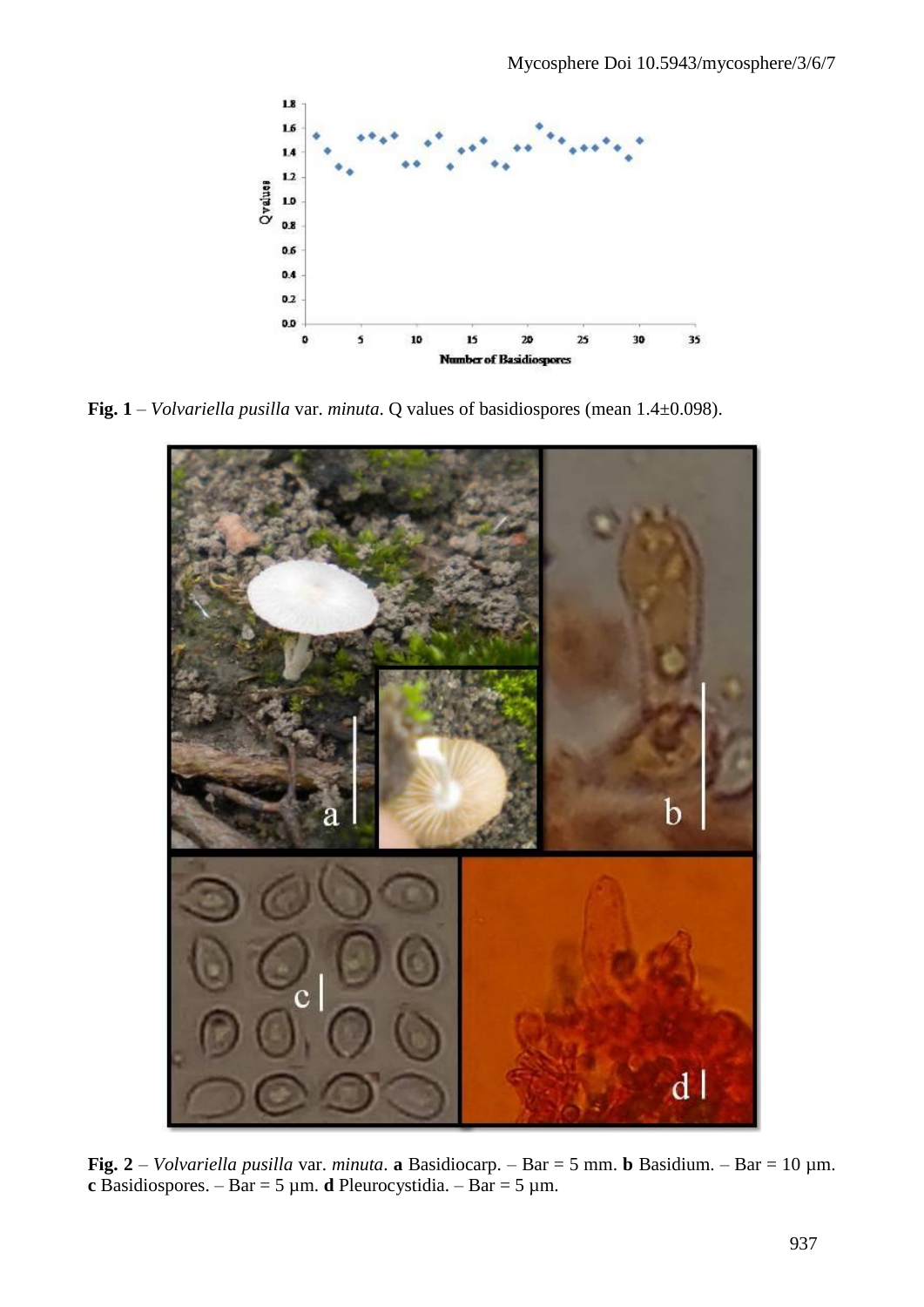

**Fig. 1** – *Volvariella pusilla* var. *minuta*. Q values of basidiospores (mean 1.4±0.098).



**Fig. 2** – *Volvariella pusilla* var. *minuta*. **a** Basidiocarp. – Bar = 5 mm. **b** Basidium. – Bar = 10 µm. **c** Basidiospores. – Bar = 5 µm. **d** Pleurocystidia. – Bar = 5 µm.